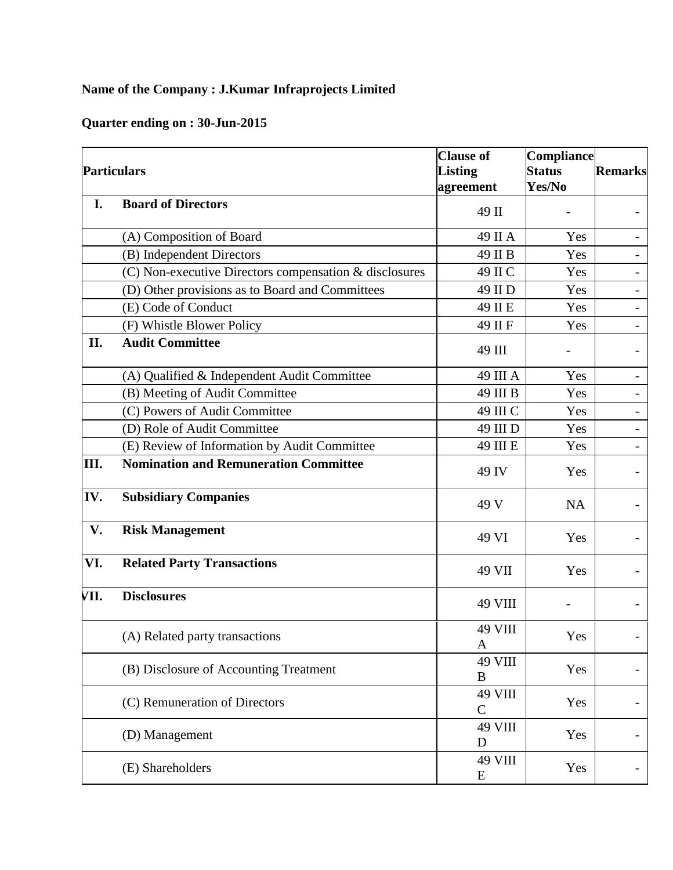## **Name of the Company : J.Kumar Infraprojects Limited**

## **Quarter ending on : 30-Jun-2015**

| <b>Particulars</b> |                                                        | <b>Clause of</b><br><b>Listing</b><br>agreement | <b>Compliance</b><br><b>Status</b><br>Yes/No | <b>Remarks</b>               |
|--------------------|--------------------------------------------------------|-------------------------------------------------|----------------------------------------------|------------------------------|
| I.                 | <b>Board of Directors</b>                              | 49 II                                           |                                              |                              |
|                    | (A) Composition of Board                               | 49 II A                                         | Yes                                          |                              |
|                    | (B) Independent Directors                              | 49 II B                                         | Yes                                          |                              |
|                    | (C) Non-executive Directors compensation & disclosures | 49 II C                                         | Yes                                          |                              |
|                    | (D) Other provisions as to Board and Committees        | 49 II D                                         | Yes                                          | $\qquad \qquad -$            |
|                    | (E) Code of Conduct                                    | 49 II E                                         | Yes                                          | $\overline{\phantom{0}}$     |
|                    | (F) Whistle Blower Policy                              | 49 II F                                         | Yes                                          | $\overline{\phantom{0}}$     |
| II.                | <b>Audit Committee</b>                                 | 49 III                                          |                                              |                              |
|                    | (A) Qualified & Independent Audit Committee            | 49 III A                                        | Yes                                          |                              |
|                    | (B) Meeting of Audit Committee                         | 49 III B                                        | Yes                                          |                              |
|                    | (C) Powers of Audit Committee                          | 49 III C                                        | Yes                                          |                              |
|                    | (D) Role of Audit Committee                            | 49 III D                                        | Yes                                          | $\qquad \qquad \blacksquare$ |
|                    | (E) Review of Information by Audit Committee           | 49 III E                                        | Yes                                          |                              |
| Ш.                 | <b>Nomination and Remuneration Committee</b>           | 49 IV                                           | Yes                                          |                              |
| IV.                | <b>Subsidiary Companies</b>                            | 49 V                                            | <b>NA</b>                                    |                              |
| V.                 | <b>Risk Management</b>                                 | 49 VI                                           | Yes                                          |                              |
| VI.                | <b>Related Party Transactions</b>                      | 49 VII                                          | Yes                                          |                              |
| VII.               | <b>Disclosures</b>                                     | <b>49 VIII</b>                                  |                                              |                              |
|                    | (A) Related party transactions                         | <b>49 VIII</b><br>A                             | Yes                                          |                              |
|                    | (B) Disclosure of Accounting Treatment                 | 49 VIII<br>B                                    | Yes                                          |                              |
|                    | (C) Remuneration of Directors                          | <b>49 VIII</b><br>$\mathcal{C}$                 | Yes                                          |                              |
|                    | (D) Management                                         | 49 VIII<br>D                                    | Yes                                          |                              |
|                    | (E) Shareholders                                       | <b>49 VIII</b><br>E                             | Yes                                          |                              |